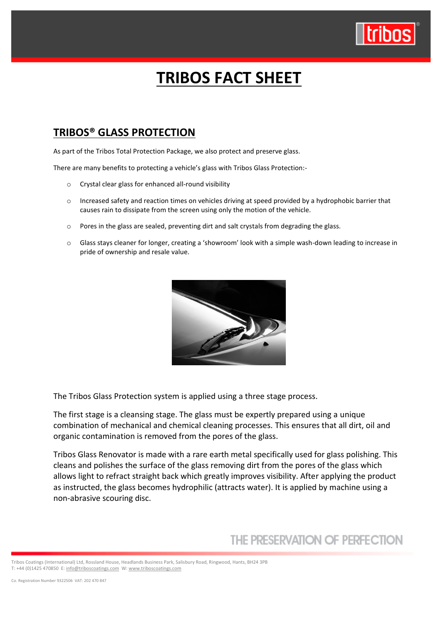

# **TRIBOS FACT SHEET**

### **TRIBOS® GLASS PROTECTION**

As part of the Tribos Total Protection Package, we also protect and preserve glass.

There are many benefits to protecting a vehicle's glass with Tribos Glass Protection:-

- o Crystal clear glass for enhanced all-round visibility
- o Increased safety and reaction times on vehicles driving at speed provided by a hydrophobic barrier that causes rain to dissipate from the screen using only the motion of the vehicle.
- o Pores in the glass are sealed, preventing dirt and salt crystals from degrading the glass.
- o Glass stays cleaner for longer, creating a 'showroom' look with a simple wash-down leading to increase in pride of ownership and resale value.



The Tribos Glass Protection system is applied using a three stage process.

The first stage is a cleansing stage. The glass must be expertly prepared using a unique combination of mechanical and chemical cleaning processes. This ensures that all dirt, oil and organic contamination is removed from the pores of the glass.

Tribos Glass Renovator is made with a rare earth metal specifically used for glass polishing. This cleans and polishes the surface of the glass removing dirt from the pores of the glass which allows light to refract straight back which greatly improves visibility. After applying the product as instructed, the glass becomes hydrophilic (attracts water). It is applied by machine using a non-abrasive scouring disc.

## THE PRESERVATION OF PERFECTION

Tribos Coatings (International) Ltd, Rossland House, Headlands Business Park, Salisbury Road, Ringwood, Hants, BH24 3PB T: +44 (0)1425 470850 E[: info@triboscoatings.com](mailto:info@triboscoatings.com) W[: www.triboscoatings.com](http://www.triboscoatings.com/)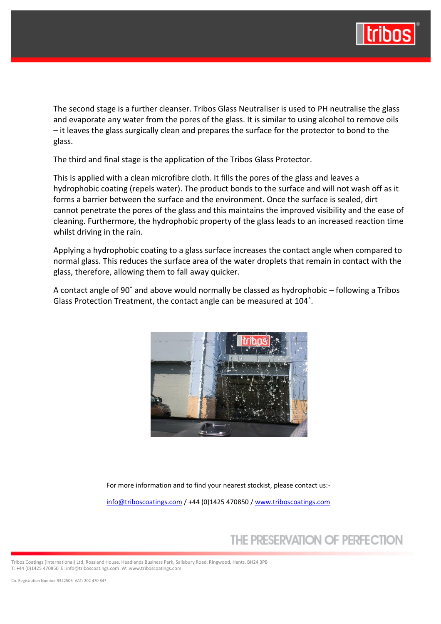

The second stage is a further cleanser. Tribos Glass Neutraliser is used to PH neutralise the glass and evaporate any water from the pores of the glass. It is similar to using alcohol to remove oils – it leaves the glass surgically clean and prepares the surface for the protector to bond to the glass.

The third and final stage is the application of the Tribos Glass Protector.

This is applied with a clean microfibre cloth. It fills the pores of the glass and leaves a hydrophobic coating (repels water). The product bonds to the surface and will not wash off as it forms a barrier between the surface and the environment. Once the surface is sealed, dirt cannot penetrate the pores of the glass and this maintains the improved visibility and the ease of cleaning. Furthermore, the hydrophobic property of the glass leads to an increased reaction time whilst driving in the rain.

Applying a hydrophobic coating to a glass surface increases the contact angle when compared to normal glass. This reduces the surface area of the water droplets that remain in contact with the glass, therefore, allowing them to fall away quicker.

A contact angle of 90˚ and above would normally be classed as hydrophobic – following a Tribos Glass Protection Treatment, the contact angle can be measured at 104˚.



For more information and to find your nearest stockist, please contact us:-

[info@triboscoatings.com](mailto:info@triboscoatings.com) / +44 (0)1425 470850 / [www.triboscoatings.com](http://www.triboscoatings.com/)

## THE PRESERVATION OF PERFECTION

Tribos Coatings (International) Ltd, Rossland House, Headlands Business Park, Salisbury Road, Ringwood, Hants, BH24 3PB T: +44 (0)1425 470850 E[: info@triboscoatings.com](mailto:info@triboscoatings.com) W[: www.triboscoatings.com](http://www.triboscoatings.com/)